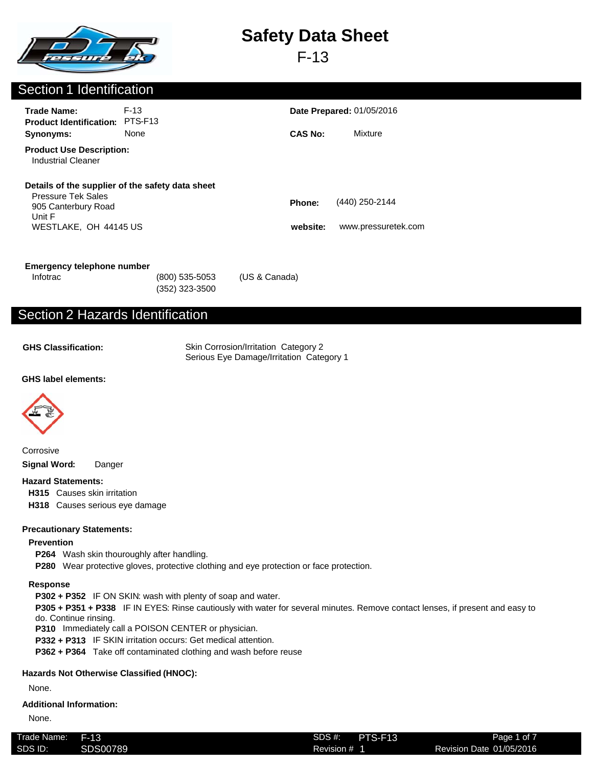

F-13

## Section 1 Identification

| <b>Trade Name:</b><br><b>Product Identification:</b>                                | $F-13$<br>PTS-F <sub>13</sub>                    |                    | <b>Date Prepared: 01/05/2016</b>      |  |  |
|-------------------------------------------------------------------------------------|--------------------------------------------------|--------------------|---------------------------------------|--|--|
| Synonyms:                                                                           | None                                             | <b>CAS No:</b>     | Mixture                               |  |  |
| <b>Product Use Description:</b><br>Industrial Cleaner                               |                                                  |                    |                                       |  |  |
| <b>Pressure Tek Sales</b><br>905 Canterbury Road<br>Unit F<br>WESTLAKE, OH 44145 US | Details of the supplier of the safety data sheet | Phone:<br>website: | (440) 250-2144<br>www.pressuretek.com |  |  |
|                                                                                     |                                                  |                    |                                       |  |  |

| <b>Emergency telephone number</b> |  |  |
|-----------------------------------|--|--|
|-----------------------------------|--|--|

(352) 323-3500

Infotrac (800) 535-5053 (US & Canada)

## Section 2 Hazards Identification

**GHS Classification:**

Skin Corrosion/Irritation Category 2 Serious Eye Damage/Irritation Category 1

#### **GHS label elements:**



Corrosive **Signal Word:** Danger

#### **Hazard Statements:**

**H315** Causes skin irritation

**H318** Causes serious eye damage

#### **Precautionary Statements:**

#### **Prevention**

- **P264** Wash skin thouroughly after handling.
- **P280** Wear protective gloves, protective clothing and eye protection or face protection.

#### **Response**

**P302 + P352** IF ON SKIN: wash with plenty of soap and water.

**P305 + P351 + P338** IF IN EYES: Rinse cautiously with water for several minutes. Remove contact lenses, if present and easy to do. Continue rinsing.

**P310** Immediately call a POISON CENTER or physician.

**P332 + P313** IF SKIN irritation occurs: Get medical attention.

**P362 + P364** Take off contaminated clothing and wash before reuse

#### **Hazards Not Otherwise Classified (HNOC):**

None.

#### **Additional Information:**

None.

| l rade Name: | F-13     | SDS #:     | PTS-F13 | Page 1 of 7              |
|--------------|----------|------------|---------|--------------------------|
| SDS ID:      | SDS00789 | Revision # |         | Revision Date 01/05/2016 |
|              |          |            |         |                          |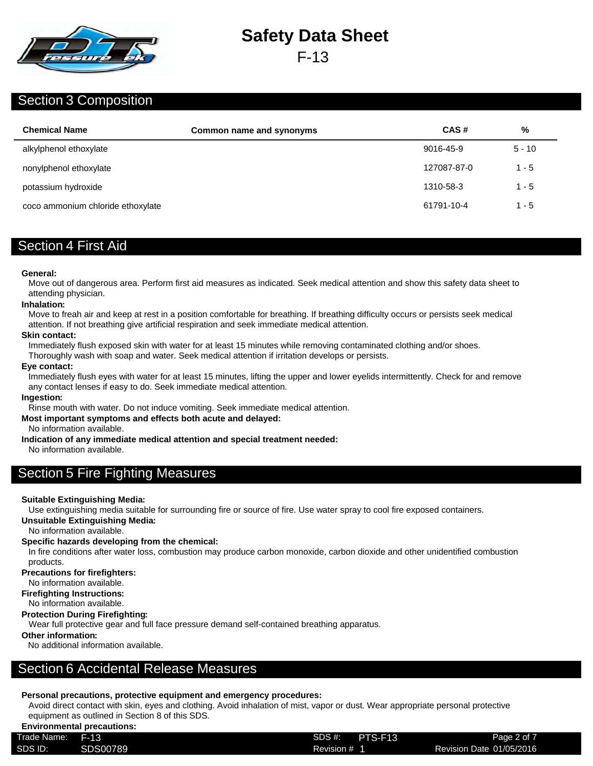

F-13

### Section 3 Composition

| <b>Chemical Name</b>              | Common name and synonyms | CAS#        | %        |
|-----------------------------------|--------------------------|-------------|----------|
| alkylphenol ethoxylate            |                          | 9016-45-9   | $5 - 10$ |
| nonylphenol ethoxylate            |                          | 127087-87-0 | $1 - 5$  |
| potassium hydroxide               |                          | 1310-58-3   | $1 - 5$  |
| coco ammonium chloride ethoxylate |                          | 61791-10-4  | $1 - 5$  |

## Section 4 First Aid

#### **General:**

Move out of dangerous area. Perform first aid measures as indicated. Seek medical attention and show this safety data sheet to attending physician.

#### **Inhalation:**

Move to freah air and keep at rest in a position comfortable for breathing. If breathing difficulty occurs or persists seek medical attention. If not breathing give artificial respiration and seek immediate medical attention.

#### **Skin contact:**

Immediately flush exposed skin with water for at least 15 minutes while removing contaminated clothing and/or shoes.

Thoroughly wash with soap and water. Seek medical attention if irritation develops or persists.

#### **Eye contact:**

Immediately flush eyes with water for at least 15 minutes, lifting the upper and lower eyelids intermittently. Check for and remove any contact lenses if easy to do. Seek immediate medical attention.

#### **Ingestion:**

Rinse mouth with water. Do not induce vomiting. Seek immediate medical attention.

#### **Most important symptoms and effects both acute and delayed:**

No information available.

**Indication of any immediate medical attention and special treatment needed:**

No information available.

## Section 5 Fire Fighting Measures

#### **Suitable Extinguishing Media:**

Use extinguishing media suitable for surrounding fire or source of fire. Use water spray to cool fire exposed containers.

**Unsuitable Extinguishing Media:**

No information available.

#### **Specific hazards developing from the chemical:**

In fire conditions after water loss, combustion may produce carbon monoxide, carbon dioxide and other unidentified combustion

products.

#### **Precautions for firefighters:**

No information available.

**Firefighting Instructions:**

## No information available.

#### **Protection During Firefighting:**

Wear full protective gear and full face pressure demand self-contained breathing apparatus.

#### **Other information:**

No additional information available.

## Section 6 Accidental Release Measures

#### **Personal precautions, protective equipment and emergency procedures:**

Avoid direct contact with skin, eyes and clothing. Avoid inhalation of mist, vapor or dust. Wear appropriate personal protective equipment as outlined in Section 8 of this SDS.

#### **Environmental precautions:**

| Trade Name: | F-13            | $SDS$ #:<br>PTS-F13 | Page 2 of 7              |
|-------------|-----------------|---------------------|--------------------------|
| SDS ID:     | <b>SDS00789</b> | Revision # 1        | Revision Date 01/05/2016 |
|             |                 |                     |                          |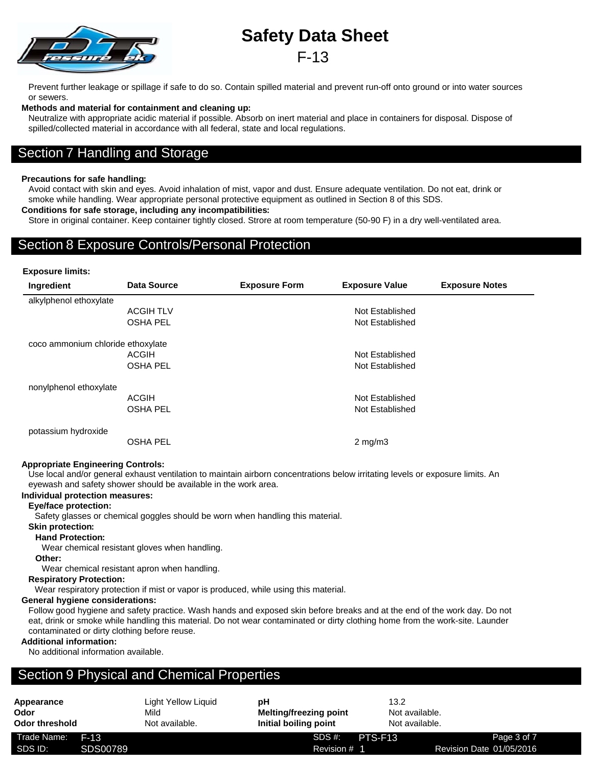Prevent further leakage or spillage if safe to do so. Contain spilled material and prevent run-off onto ground or into water sources or sewers.

#### **Methods and material for containment and cleaning up:**

Neutralize with appropriate acidic material if possible. Absorb on inert material and place in containers for disposal. Dispose of spilled/collected material in accordance with all federal, state and local regulations.

### Section 7 Handling and Storage

#### **Precautions for safe handling:**

Avoid contact with skin and eyes. Avoid inhalation of mist, vapor and dust. Ensure adequate ventilation. Do not eat, drink or smoke while handling. Wear appropriate personal protective equipment as outlined in Section 8 of this SDS.

#### **Conditions for safe storage, including any incompatibilities:**

Store in original container. Keep container tightly closed. Strore at room temperature (50-90 F) in a dry well-ventilated area.

### Section 8 Exposure Controls/Personal Protection

#### **Exposure limits:**

| Ingredient                        | <b>Data Source</b> | <b>Exposure Form</b> | <b>Exposure Value</b> | <b>Exposure Notes</b> |
|-----------------------------------|--------------------|----------------------|-----------------------|-----------------------|
| alkylphenol ethoxylate            |                    |                      |                       |                       |
|                                   | <b>ACGIH TLV</b>   |                      | Not Established       |                       |
|                                   | <b>OSHA PEL</b>    |                      | Not Established       |                       |
| coco ammonium chloride ethoxylate |                    |                      |                       |                       |
|                                   | <b>ACGIH</b>       |                      | Not Established       |                       |
|                                   | <b>OSHA PEL</b>    |                      | Not Established       |                       |
| nonylphenol ethoxylate            |                    |                      |                       |                       |
|                                   | <b>ACGIH</b>       |                      | Not Established       |                       |
|                                   | <b>OSHA PEL</b>    |                      | Not Established       |                       |
| potassium hydroxide               |                    |                      |                       |                       |
|                                   | <b>OSHA PEL</b>    |                      | $2 \text{ mg/m}$      |                       |

#### **Appropriate Engineering Controls:**

Use local and/or general exhaust ventilation to maintain airborn concentrations below irritating levels or exposure limits. An eyewash and safety shower should be available in the work area.

#### **Individual protection measures:**

#### **Eye/face protection:**

Safety glasses or chemical goggles should be worn when handling this material.

#### **Skin protection:**

#### **Hand Protection:**

Wear chemical resistant gloves when handling.

#### **Other:**

Wear chemical resistant apron when handling.

#### **Respiratory Protection:**

Wear respiratory protection if mist or vapor is produced, while using this material.

#### **General hygiene considerations:**

Follow good hygiene and safety practice. Wash hands and exposed skin before breaks and at the end of the work day. Do not eat, drink or smoke while handling this material. Do not wear contaminated or dirty clothing home from the work-site. Launder contaminated or dirty clothing before reuse.

#### **Additional information:**

No additional information available.

## Section 9 Physical and Chemical Properties

| Appearance             |          | Light Yellow Liguid    | рH                                                     |         | 13.2                             |                          |
|------------------------|----------|------------------------|--------------------------------------------------------|---------|----------------------------------|--------------------------|
| Odor<br>Odor threshold |          | Mild<br>Not available. | <b>Melting/freezing point</b><br>Initial boiling point |         | Not available.<br>Not available. |                          |
| Trade Name:            | $F-13$   |                        | SDS #:                                                 | PTS-F13 |                                  | Page 3 of 7              |
| SDS ID:                | SDS00789 |                        | Revision # 1                                           |         |                                  | Revision Date 01/05/2016 |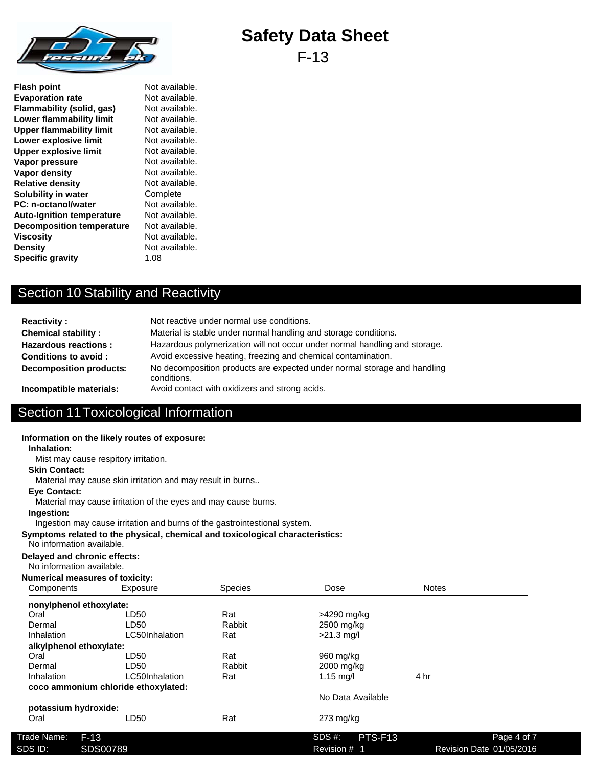

F-13

**Flash point** Not available. **Evaporation rate** Not available. **Flammability (solid, gas)** Not available.<br> **Lower flammability limit** Not available. **Lower flammability limit Upper flammability limit** Not available. **Lower explosive limit** Not available. **Upper explosive limit** Not available.<br> **Vapor pressure** Not available. **Vapor pressure Vapor density** Not available. **Relative density** Not available. **Solubility in water** Complete **PC: n-octanol/water** Not available. Auto-Ignition temperature Not available. **Decomposition temperature** Not available. **Viscosity** Not available. **Density** Not available. **Specific gravity** 1.08

## Section 10 Stability and Reactivity

| <b>Reactivity:</b>             | Not reactive under normal use conditions.                                               |
|--------------------------------|-----------------------------------------------------------------------------------------|
| <b>Chemical stability:</b>     | Material is stable under normal handling and storage conditions.                        |
| <b>Hazardous reactions:</b>    | Hazardous polymerization will not occur under normal handling and storage.              |
| Conditions to avoid:           | Avoid excessive heating, freezing and chemical contamination.                           |
| <b>Decomposition products:</b> | No decomposition products are expected under normal storage and handling<br>conditions. |
| Incompatible materials:        | Avoid contact with oxidizers and strong acids.                                          |

## Section 11Toxicological Information

|                                                           | Information on the likely routes of exposure:                                 |                |                     |              |             |
|-----------------------------------------------------------|-------------------------------------------------------------------------------|----------------|---------------------|--------------|-------------|
| Inhalation:                                               |                                                                               |                |                     |              |             |
|                                                           | Mist may cause respitory irritation.                                          |                |                     |              |             |
| <b>Skin Contact:</b>                                      |                                                                               |                |                     |              |             |
|                                                           | Material may cause skin irritation and may result in burns                    |                |                     |              |             |
| <b>Eve Contact:</b>                                       | Material may cause irritation of the eyes and may cause burns.                |                |                     |              |             |
| Ingestion:                                                | Ingestion may cause irritation and burns of the gastrointestional system.     |                |                     |              |             |
| No information available.                                 | Symptoms related to the physical, chemical and toxicological characteristics: |                |                     |              |             |
| Delayed and chronic effects:<br>No information available. |                                                                               |                |                     |              |             |
| <b>Numerical measures of toxicity:</b>                    |                                                                               |                |                     |              |             |
| Components                                                | Exposure                                                                      | <b>Species</b> | Dose                | <b>Notes</b> |             |
| nonylphenol ethoxylate:                                   |                                                                               |                |                     |              |             |
| Oral                                                      | LD50                                                                          | Rat            | >4290 mg/kg         |              |             |
| Dermal                                                    | LD50                                                                          | Rabbit         | 2500 mg/kg          |              |             |
| Inhalation                                                | LC50Inhalation                                                                | Rat            | $>21.3$ mg/l        |              |             |
| alkylphenol ethoxylate:                                   |                                                                               |                |                     |              |             |
| Oral                                                      | LD50                                                                          | Rat            | 960 mg/kg           |              |             |
| Dermal                                                    | LD50                                                                          | Rabbit         | 2000 mg/kg          |              |             |
| Inhalation                                                | LC50Inhalation                                                                | Rat            | $1.15$ mg/l         | 4 hr         |             |
|                                                           | coco ammonium chloride ethoxylated:                                           |                |                     |              |             |
|                                                           |                                                                               |                | No Data Available   |              |             |
| potassium hydroxide:                                      |                                                                               |                |                     |              |             |
| Oral                                                      | LD <sub>50</sub>                                                              | Rat            | 273 mg/kg           |              |             |
|                                                           |                                                                               |                |                     |              |             |
| Trade Name:<br>$F-13$                                     |                                                                               |                | $SDS#$ :<br>PTS-F13 |              | Page 4 of 7 |

SDS ID: SDS00789 SDS00789 SDS Revision # 1 Revision # 1 Revision Date 01/05/2016

Revision # 1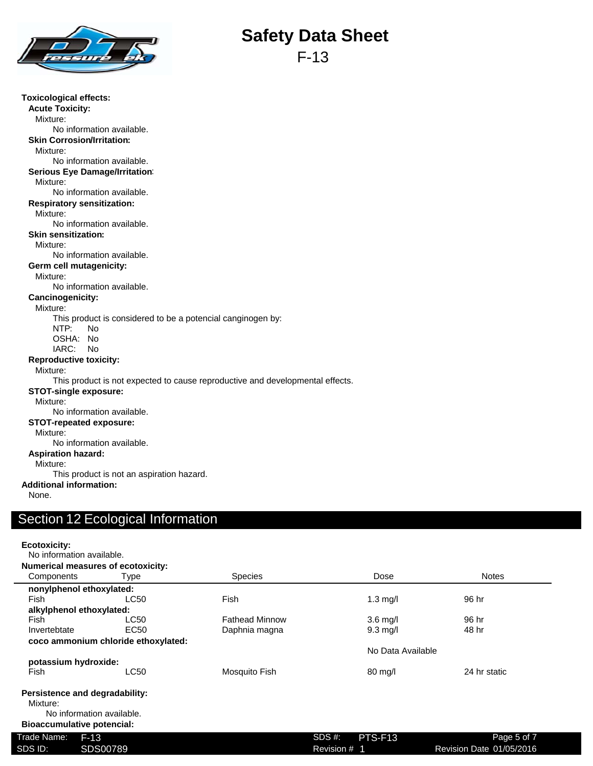

F-13

| <b>Toxicological effects:</b>                                                 |
|-------------------------------------------------------------------------------|
| <b>Acute Toxicity:</b>                                                        |
| Mixture:                                                                      |
| No information available.                                                     |
| <b>Skin Corrosion/Irritation:</b>                                             |
| Mixture:                                                                      |
| No information available.                                                     |
| <b>Serious Eye Damage/Irritation:</b>                                         |
| Mixture:                                                                      |
| No information available.                                                     |
| <b>Respiratory sensitization:</b>                                             |
| Mixture:                                                                      |
| No information available.                                                     |
| <b>Skin sensitization:</b>                                                    |
| Mixture:                                                                      |
| No information available.                                                     |
| Germ cell mutagenicity:                                                       |
| Mixture:                                                                      |
| No information available.                                                     |
| <b>Cancinogenicity:</b>                                                       |
| Mixture:                                                                      |
| This product is considered to be a potencial canginogen by:                   |
| NTP:<br><b>No</b>                                                             |
| OSHA: No                                                                      |
| IARC: No                                                                      |
| <b>Reproductive toxicity:</b>                                                 |
| Mixture:                                                                      |
| This product is not expected to cause reproductive and developmental effects. |
| <b>STOT-single exposure:</b>                                                  |
| Mixture:                                                                      |
| No information available.                                                     |
| <b>STOT-repeated exposure:</b>                                                |
| Mixture:                                                                      |
| No information available.                                                     |
| <b>Aspiration hazard:</b>                                                     |
| Mixture:                                                                      |
| This product is not an aspiration hazard.                                     |
| <b>Additional information:</b>                                                |
| None.                                                                         |
|                                                                               |
| Contian 10 Englacion Information                                              |

### Section 12 Ecological Information

| Ecotoxicity: |                                           |                       |              |                    |                          |
|--------------|-------------------------------------------|-----------------------|--------------|--------------------|--------------------------|
|              | No information available.                 |                       |              |                    |                          |
|              | <b>Numerical measures of ecotoxicity:</b> |                       |              |                    |                          |
| Components   | Type                                      | <b>Species</b>        |              | Dose               | <b>Notes</b>             |
|              | nonylphenol ethoxylated:                  |                       |              |                    |                          |
| Fish         | LC50                                      | Fish                  |              | $1.3 \text{ mg/l}$ | 96 hr                    |
|              | alkylphenol ethoxylated:                  |                       |              |                    |                          |
| Fish         | LC50                                      | <b>Fathead Minnow</b> |              | $3.6$ mg/l         | 96 hr                    |
| Invertebtate | EC <sub>50</sub>                          | Daphnia magna         |              | $9.3 \text{ mq/l}$ | 48 hr                    |
|              | coco ammonium chloride ethoxylated:       |                       |              |                    |                          |
|              |                                           |                       |              | No Data Available  |                          |
|              | potassium hydroxide:                      |                       |              |                    |                          |
| Fish         | LC50                                      | Mosquito Fish         |              | $80 \text{ mg/l}$  | 24 hr static             |
|              | Persistence and degradability:            |                       |              |                    |                          |
| Mixture:     |                                           |                       |              |                    |                          |
|              | No information available.                 |                       |              |                    |                          |
|              | <b>Bioaccumulative potencial:</b>         |                       |              |                    |                          |
| Trade Name:  | $F-13$                                    |                       | SDS #:       | PTS-F13            | Page 5 of 7              |
| SDS ID:      | SDS00789                                  |                       | Revision # 1 |                    | Revision Date 01/05/2016 |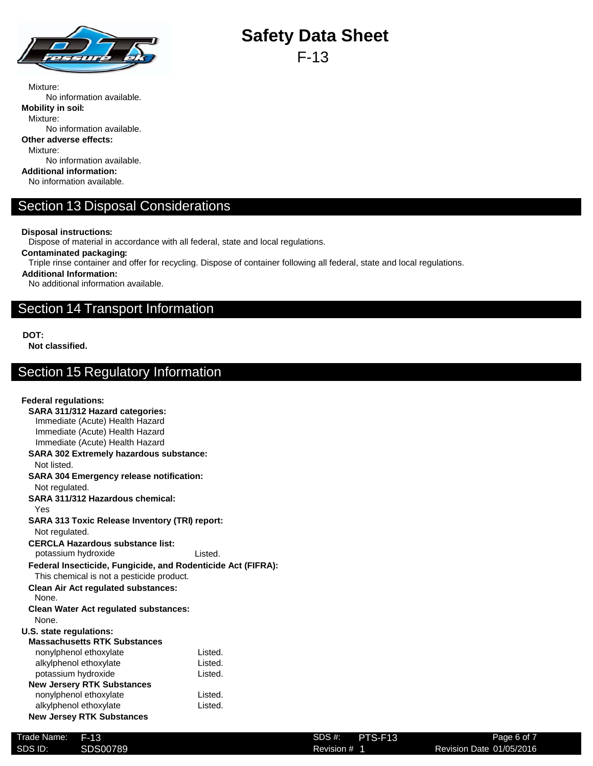

F-13

Mixture: No information available. **Mobility in soil:** Mixture: No information available. **Other adverse effects:** Mixture: No information available. **Additional information:** No information available.

## Section 13 Disposal Considerations

**Disposal instructions:**

Dispose of material in accordance with all federal, state and local regulations.

**Contaminated packaging:**

Triple rinse container and offer for recycling. Dispose of container following all federal, state and local regulations.

**Additional Information:**

No additional information available.

### Section 14 Transport Information

**DOT:**

**Not classified.**

## Section 15 Regulatory Information

#### **Federal regulations: SARA 311/312 Hazard categories:** Immediate (Acute) Health Hazard Immediate (Acute) Health Hazard Immediate (Acute) Health Hazard **SARA 302 Extremely hazardous substance:** Not listed. **SARA 304 Emergency release notification:** Not regulated. **SARA 311/312 Hazardous chemical:** Yes **SARA 313 Toxic Release Inventory (TRI) report:** Not regulated. **CERCLA Hazardous substance list:** potassium hydroxide Contact Listed. **Federal Insecticide, Fungicide, and Rodenticide Act (FIFRA):** This chemical is not a pesticide product. **Clean Air Act regulated substances:** None. **Clean Water Act regulated substances:** None. **U.S. state regulations: Massachusetts RTK Substances** nonylphenol ethoxylate **Listed**. alkylphenol ethoxylate **Listed**. potassium hydroxide Contract Contract Listed. **New Jersery RTK Substances** nonylphenol ethoxylate **Listed**. alkylphenol ethoxylate **Listed Listed**. **New Jersey RTK Substances**

| Trade Name: | F-13     | $SDS#$ :<br>PTS-F13 | Page 6 of 7              |
|-------------|----------|---------------------|--------------------------|
| SDS ID:     | SDS00789 | Revision #          | Revision Date 01/05/2016 |
|             |          |                     |                          |